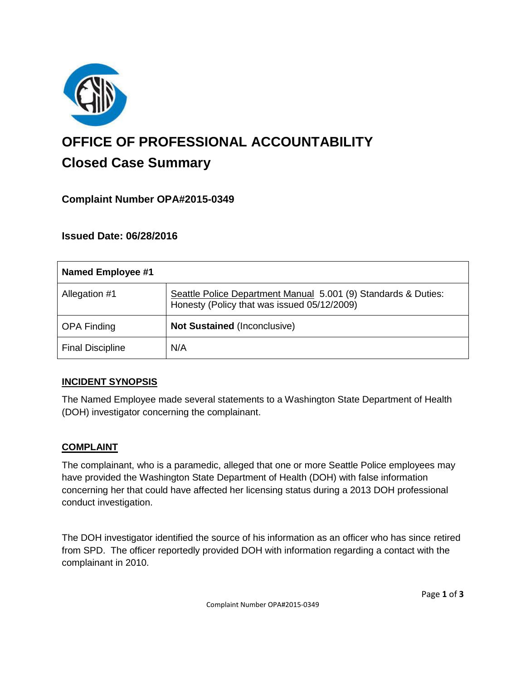

# **OFFICE OF PROFESSIONAL ACCOUNTABILITY Closed Case Summary**

# **Complaint Number OPA#2015-0349**

## **Issued Date: 06/28/2016**

| <b>Named Employee #1</b> |                                                                                                               |
|--------------------------|---------------------------------------------------------------------------------------------------------------|
| Allegation #1            | Seattle Police Department Manual 5.001 (9) Standards & Duties:<br>Honesty (Policy that was issued 05/12/2009) |
| <b>OPA Finding</b>       | <b>Not Sustained (Inconclusive)</b>                                                                           |
| <b>Final Discipline</b>  | N/A                                                                                                           |

#### **INCIDENT SYNOPSIS**

The Named Employee made several statements to a Washington State Department of Health (DOH) investigator concerning the complainant.

#### **COMPLAINT**

The complainant, who is a paramedic, alleged that one or more Seattle Police employees may have provided the Washington State Department of Health (DOH) with false information concerning her that could have affected her licensing status during a 2013 DOH professional conduct investigation.

The DOH investigator identified the source of his information as an officer who has since retired from SPD. The officer reportedly provided DOH with information regarding a contact with the complainant in 2010.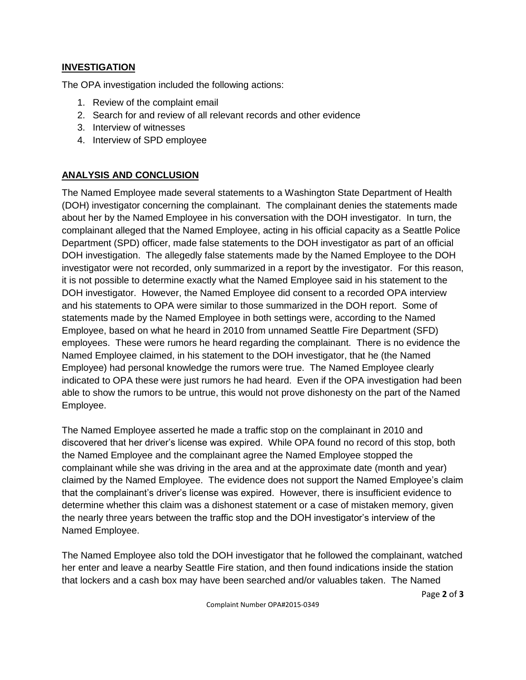#### **INVESTIGATION**

The OPA investigation included the following actions:

- 1. Review of the complaint email
- 2. Search for and review of all relevant records and other evidence
- 3. Interview of witnesses
- 4. Interview of SPD employee

## **ANALYSIS AND CONCLUSION**

The Named Employee made several statements to a Washington State Department of Health (DOH) investigator concerning the complainant. The complainant denies the statements made about her by the Named Employee in his conversation with the DOH investigator. In turn, the complainant alleged that the Named Employee, acting in his official capacity as a Seattle Police Department (SPD) officer, made false statements to the DOH investigator as part of an official DOH investigation. The allegedly false statements made by the Named Employee to the DOH investigator were not recorded, only summarized in a report by the investigator. For this reason, it is not possible to determine exactly what the Named Employee said in his statement to the DOH investigator. However, the Named Employee did consent to a recorded OPA interview and his statements to OPA were similar to those summarized in the DOH report. Some of statements made by the Named Employee in both settings were, according to the Named Employee, based on what he heard in 2010 from unnamed Seattle Fire Department (SFD) employees. These were rumors he heard regarding the complainant. There is no evidence the Named Employee claimed, in his statement to the DOH investigator, that he (the Named Employee) had personal knowledge the rumors were true. The Named Employee clearly indicated to OPA these were just rumors he had heard. Even if the OPA investigation had been able to show the rumors to be untrue, this would not prove dishonesty on the part of the Named Employee.

The Named Employee asserted he made a traffic stop on the complainant in 2010 and discovered that her driver's license was expired. While OPA found no record of this stop, both the Named Employee and the complainant agree the Named Employee stopped the complainant while she was driving in the area and at the approximate date (month and year) claimed by the Named Employee. The evidence does not support the Named Employee's claim that the complainant's driver's license was expired. However, there is insufficient evidence to determine whether this claim was a dishonest statement or a case of mistaken memory, given the nearly three years between the traffic stop and the DOH investigator's interview of the Named Employee.

The Named Employee also told the DOH investigator that he followed the complainant, watched her enter and leave a nearby Seattle Fire station, and then found indications inside the station that lockers and a cash box may have been searched and/or valuables taken. The Named